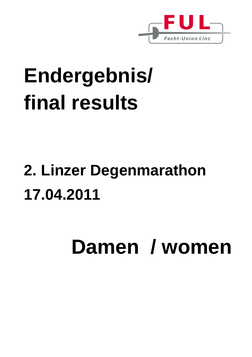

# **Endergebnis/ final results**

## **2. Linzer Degenmarathon 17.04.2011**

# **Damen / women**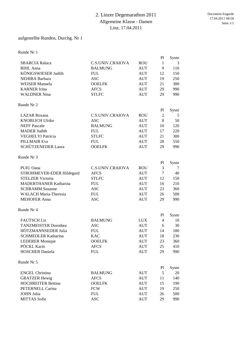#### 2. Linzer Degemarathon 2011 Allgemeine Klasse - Damen Linz, 17.04.2011

#### aufgestellte Runden, Durchg. Nr 1

Runde Nr 1

|                                                   |                         |            | P <sub>1</sub> | Sysnr       |
|---------------------------------------------------|-------------------------|------------|----------------|-------------|
| <b>SBARCIA Raluca</b>                             | <b>C.S.UNIV.CRAIOVA</b> | <b>ROU</b> | $\mathbf{1}$   | 3           |
| RIHL Anna                                         | <b>BALMUNG</b>          | <b>AUT</b> | 9              | 110         |
| KÖNIGSWIESER Judith                               | <b>FUL</b>              | <b>AUT</b> | 12             | 150         |
| <b>NEHIBA Barbara</b>                             | <b>ASC</b>              | <b>AUT</b> | 19             | 250         |
| <b>WEISER Manuela</b>                             | <b>OOELFK</b>           | <b>AUT</b> | 21             | 300         |
| <b>KARNER</b> Irina                               | <b>AFCS</b>             | <b>AUT</b> | 29             | 990         |
| <b>WALDNER Nina</b>                               | <b>STLFC</b>            | <b>AUT</b> | 29             | 990         |
| Runde Nr 2                                        |                         |            |                |             |
|                                                   |                         |            | P1             | Sysnr       |
| <b>LAZAR</b> Roxana                               | <b>C.S.UNIV.CRAIOVA</b> | <b>ROU</b> | $\mathfrak{2}$ | 5           |
| <b>KNOBLICH Ulrike</b>                            | <b>ASC</b>              | <b>AUT</b> | 8              | 50          |
| <b>NEFF Pascale</b>                               | <b>BALMUNG</b>          | <b>AUT</b> | 10             | 120         |
| <b>MADER Judith</b>                               | <b>FUL</b>              | <b>AUT</b> | 17             | 220         |
| <b>VEGHELYI Patricia</b>                          | <b>STLFC</b>            | <b>AUT</b> | 21             | 300         |
| <b>PILLMAIR Eva</b>                               | <b>FUL</b>              | <b>AUT</b> | 28             | 550         |
| SCHÜTZENEDER Laura                                | <b>OOELFK</b>           | <b>AUT</b> | 29             | 990         |
| Runde Nr 3                                        |                         |            |                |             |
|                                                   |                         |            | P1             | Sysnr       |
| PUIU Oana                                         | <b>C.S.UNIV.CRAIOVA</b> | <b>ROU</b> | 3              | 7           |
| STROHMEYER-EDER Hildegard                         | <b>AFCS</b>             | <b>AUT</b> | $\tau$         | 40          |
| <b>STELZER Victoria</b>                           | <b>STLFC</b>            | <b>AUT</b> | 12             | 150         |
| <b>MADERTHANER Katharina</b>                      | <b>FUL</b>              | <b>AUT</b> | 16             | 210         |
| <b>SCHRAMM Susanne</b>                            | <b>ASC</b>              | <b>AUT</b> | 23             | 360         |
| <b>WALACH Maria-Theresia</b>                      | <b>FUL</b>              | <b>AUT</b> | 26             | 500         |
| <b>MEHOFER Anna</b>                               | <b>ASC</b>              | <b>AUT</b> | 29             | 990         |
| Runde Nr 4                                        |                         |            |                |             |
|                                                   |                         |            | P1             | Sysnr       |
| <b>FAUTSCH Lis</b><br><b>TANZMEISTER Dorothea</b> | <b>BALMUNG</b>          | <b>LUX</b> | 4              | 10          |
|                                                   | <b>ASC</b>              | <b>AUT</b> | 6              | 30          |
| HÖTZMANNSEDER Julia                               | <b>FUL</b>              | <b>AUT</b> | 14             | 180         |
| <b>SCHMEDLER Katharina</b>                        | <b>KAC</b>              | <b>AUT</b> | 18             | 230         |
| <b>LEDERER Monique</b>                            | <b>OOELFK</b>           | <b>AUT</b> | 23             | 360         |
| PÖCKL Karin                                       | <b>AFCS</b>             | <b>AUT</b> | 25             | 410         |
| <b>HOSCHER Daniela</b>                            | <b>FUL</b>              | AUT        | 29             | 990         |
| Runde Nr 5                                        |                         |            |                |             |
| <b>ENGEL Christina</b>                            | <b>BALMUNG</b>          | AUT        | P1<br>5        | Sysnr<br>20 |
| <b>GRATZER Hewig</b>                              | <b>AFCS</b>             | AUT        | 11             | 140         |
| <b>HOCHREITER Bettina</b>                         | <b>OOELFK</b>           | AUT        | 15             | 190         |
| PETERNELL Carina                                  | <b>FCW</b>              | AUT        | 19             | 250         |
| <b>JOHN Julia</b>                                 | <b>FUL</b>              | AUT        | 26             | 500         |
| <b>MITTAS</b> Sofie                               | <b>ASC</b>              | <b>AUT</b> | 29             | 990         |
|                                                   |                         |            |                |             |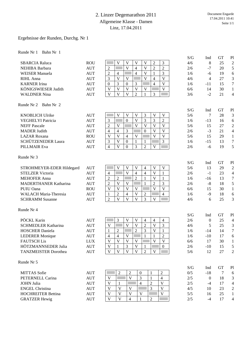#### 2. Linzer Degemarathon 2011 Allgemeine Klasse - Damen Linz, 17.04.2011

#### Ergebnisse der Runden, Durchg. Nr 1

|                                                      |            |                                                                                                                                                        | S/G        | Ind              | <b>GT</b>       | P1                                 |
|------------------------------------------------------|------------|--------------------------------------------------------------------------------------------------------------------------------------------------------|------------|------------------|-----------------|------------------------------------|
| <b>SBARCIA Raluca</b>                                | <b>ROU</b> | 3<br>V<br>$\mathbf{V}$<br>V<br>$\mathbf V$<br>$\overline{c}$                                                                                           | 4/6        | $\,8\,$          | 25              | $\overline{2}$                     |
| NEHIBA Barbara                                       | <b>AUT</b> | $\overline{2}$<br>V<br>$\overline{\mathbf{V}}$<br>$\overline{2}$<br>$\overline{2}$<br>$\overline{4}$                                                   | 2/6        | $-7$             | 20              | 5                                  |
| <b>WEISER Manuela</b>                                | <b>AUT</b> | 3<br>$\overline{2}$<br>$\overline{4}$<br>V<br>$\overline{4}$<br>1                                                                                      | 1/6        | -6               | 19              | 6                                  |
| RIHL Anna                                            | <b>AUT</b> | 3<br>V<br>V<br>V<br>V<br>$\overline{4}$                                                                                                                | 4/6        | 4                | 27              | $\mathfrak{Z}$                     |
| <b>KARNER</b> Irina                                  | <b>AUT</b> | $\overline{3}$<br>3<br>$\boldsymbol{0}$<br>$\overline{4}$<br>$\mathbf V$<br>$\boldsymbol{0}$                                                           | 1/6        | $-11$            | 15              | $\boldsymbol{7}$                   |
| KÖNIGSWIESER Judith                                  | <b>AUT</b> | $\mathbf{V}$<br>$\overline{\mathbf{V}}$<br>V<br>V<br>V<br>V                                                                                            | 6/6        | 14               | 30              | $\mathbf{1}$                       |
| <b>WALDNER Nina</b>                                  | <b>AUT</b> | V<br>$\mathbf{V}$<br>$\overline{2}$<br>V<br>$\mathbf{1}$<br>3                                                                                          | 3/6        | $-2$             | 21              | $\overline{4}$                     |
| Runde Nr 2<br>Bahn Nr 2                              |            |                                                                                                                                                        |            |                  |                 |                                    |
| <b>KNOBLICH Ulrike</b>                               | <b>AUT</b> | $\overline{\mathbf{V}}$<br>3<br>V<br>V<br>V<br>V                                                                                                       | S/G<br>5/6 | Ind<br>7         | <b>GT</b><br>28 | P1<br>3                            |
| <b>VEGHELYI Patricia</b>                             | <b>AUT</b> | $\overline{\mathsf{V}}$<br>3<br>$\overline{2}$<br>3<br>$\mathbf{0}$<br>3                                                                               | 1/6        | $-13$            | 16              | 6                                  |
| <b>NEFF Pascale</b>                                  | <b>AUT</b> | $\overline{2}$<br>$\mathbf{V}$<br>$\overline{\mathsf{V}}$<br>$\overline{V}$<br>$\overline{\mathsf{V}}$<br>V                                            | 5/6        | 15               | 27              | $\overline{2}$                     |
| <b>MADER Judith</b>                                  | <b>AUT</b> | 3<br>$\overline{\mathsf{V}}$<br>4<br>$\overline{4}$<br>$\boldsymbol{0}$<br>V                                                                           | 2/6        | $-3$             | 21              | 4                                  |
|                                                      |            | $\overline{\mathbf{V}}$<br>$\mathbf{V}$<br>$\overline{\mathbf{V}}$<br>V<br>$\mathbf{V}$<br>$\overline{4}$                                              |            | 15               |                 |                                    |
| <b>LAZAR</b> Roxana                                  | <b>ROU</b> | $\mathbf{V}$<br>$\overline{3}$<br>$\mathbf{0}$                                                                                                         | 5/6        |                  | 29              | $\mathbf{1}$<br>$\boldsymbol{7}$   |
| SCHÜTZENEDER Laura                                   | <b>AUT</b> | $\mathfrak{Z}$<br>$\mathbf{1}$<br>1<br>$\overline{\mathbf{V}}$<br>$\overline{3}$                                                                       | 1/6        | $-15$            | 13              |                                    |
| <b>PILLMAIR Eva</b>                                  | <b>AUT</b> | $\overline{2}$<br>$\overline{4}$<br>$\boldsymbol{0}$<br>V                                                                                              | 2/6        | $-6$             | 19              | 5                                  |
| Runde Nr 3                                           |            |                                                                                                                                                        |            |                  |                 |                                    |
|                                                      | <b>AUT</b> | V<br>$\mathbf{V}$<br>$\mathbf V$<br>$\mathbf V$<br>V<br>$\overline{4}$                                                                                 | S/G<br>5/6 | Ind<br>13        | <b>GT</b><br>29 | P <sub>1</sub><br>$\boldsymbol{2}$ |
| STROHMEYER-EDER Hildegard<br><b>STELZER Victoria</b> | <b>AUT</b> | V<br>$\overline{4}$<br>$\overline{4}$<br>V<br>$\mathbf{1}$<br>4                                                                                        | 2/6        | $-1$             | 23              |                                    |
| <b>MEHOFER Anna</b>                                  | <b>AUT</b> | $\overline{2}$<br>$\overline{2}$<br>V<br>$\mathfrak{2}$<br>$\mathbf{1}$<br>$\mathbf{1}$                                                                | 1/6        |                  | 13              | $\overline{4}$<br>$\tau$           |
|                                                      |            | $\overline{\mathbf{V}}$<br>3<br>V                                                                                                                      |            | $-16$            |                 |                                    |
| <b>MADERTHANER Katharina</b>                         | <b>AUT</b> | $\overline{2}$<br>$\overline{2}$<br>$\mathbf{1}$<br>$\overline{\mathbf{V}}$<br>V                                                                       | 2/6        | $-8$             | 18              | 5                                  |
| PUIU Oana                                            | <b>ROU</b> | $\mathbf{V}$<br>$\mathbf{V}$<br>$\mathbf{V}$<br>$\overline{\mathsf{V}}$<br>$\overline{\mathsf{V}}$                                                     | 6/6        | 15               | 30              | $\mathbf{1}$                       |
| <b>WALACH Maria-Theresia</b>                         | <b>AUT</b> | $\overline{2}$<br>$\sqrt{2}$<br>$\overline{4}$<br>$\overline{4}$<br>$\mathbf{1}$<br>$\overline{\mathbf{V}}$<br>$\overline{\mathbf{V}}$<br>$\mathbf{V}$ | 1/6        | $-9$             | 18              | 6                                  |
| <b>SCHRAMM Susanne</b>                               | <b>AUT</b> | $\overline{2}$<br>3<br>V                                                                                                                               | 4/6        | 6                | 25              | 3                                  |
| Runde Nr 4                                           |            |                                                                                                                                                        | S/G        | Ind              | <b>GT</b>       | P <sub>1</sub>                     |
| PÖCKL Karin                                          | <b>AUT</b> | 3<br>V<br>V<br>4<br>$\overline{4}$<br>4                                                                                                                | 2/6        | $\boldsymbol{0}$ | 25              | $\overline{4}$                     |
| <b>SCHMEDLER Katharina</b>                           | <b>AUT</b> | $\overline{\mathbf{V}}$<br>$\overline{\mathbf{V}}$<br>$\overline{c}$<br>V<br>3<br>V                                                                    | 4/6        | 5                | 25              | $\mathfrak{Z}$                     |
| <b>HOSCHER Daniela</b>                               | <b>AUT</b> | $\overline{2}$<br>3<br>$\mathbf{1}$<br>$\overline{\mathbf{V}}$<br>$\overline{2}$<br>$\mathbf{1}$                                                       | 1/6        | $-14$            | 14              | $\boldsymbol{7}$                   |
| <b>LEDERER Monique</b>                               | <b>AUT</b> | $\overline{2}$<br>$\overline{4}$<br>V<br>$\mathbf{1}$<br>$\overline{4}$<br>1                                                                           | 1/6        | $-10$            | 17              | 6                                  |
| <b>FAUTSCH Lis</b>                                   | <b>LUX</b> | $\mathbf{V}$<br>$\mathbf{V}$<br>V<br>$\overline{\mathsf{V}}$<br>V<br>V                                                                                 | 6/6        | 17               | 30              | $\mathbf{1}$                       |
| HOTZMANNSEDER Julia                                  | AUT        | 3<br>V<br>$\boldsymbol{0}$<br>V<br>$\perp$                                                                                                             | 2/6        | -10              | 15              | 5                                  |
| <b>TANZMEISTER Dorothea</b>                          | <b>AUT</b> | $\mathbf{V}$<br>$\mathbf{V}$<br>$\overline{2}$<br>V<br>V<br>V                                                                                          | $5/6$      | 12               | 27              | $\overline{2}$                     |
|                                                      |            |                                                                                                                                                        |            |                  |                 |                                    |
| Runde Nr 5                                           |            |                                                                                                                                                        | S/G        | Ind              | GT              | P <sub>1</sub>                     |
| <b>MITTAS</b> Sofie                                  |            | $\overline{2}$<br>$\boldsymbol{0}$                                                                                                                     | 0/5        | $-18$            |                 |                                    |
|                                                      | <b>AUT</b> | $\boldsymbol{2}$<br>$\sqrt{2}$<br>$\mathbf{1}$<br>$\mathbf{V}$                                                                                         |            |                  | 7               | 6                                  |
| PETERNELL Carina                                     | <b>AUT</b> | 3<br>$\mathbf V$<br>$\mathbf{1}$<br>$\overline{4}$<br>$\overline{\mathbf{V}}$                                                                          | 2/5        | $\boldsymbol{0}$ | 18              | 3                                  |
| <b>JOHN Julia</b>                                    | <b>AUT</b> | V<br>$\overline{4}$<br>$\overline{2}$<br>$\mathbf{1}$                                                                                                  | $2/5$      | $-4$             | 17              | $\overline{4}$                     |
| <b>ENGEL Christina</b>                               | <b>AUT</b> | V<br>$\mathbf{V}$<br>$\mathbf V$<br>$\mathbf V$<br>$\mathfrak{Z}$                                                                                      | 4/5        | 10               | 23              | $\sqrt{2}$                         |
| <b>HOCHREITER Bettina</b>                            | <b>AUT</b> | $\mathbf{V}$<br>$\mathbf V$<br>V<br>V<br>V                                                                                                             | 5/5        | 16               | 25              | $\mathbf{1}$                       |
| <b>GRATZER Hewig</b>                                 | <b>AUT</b> | $\mathbf{1}$<br>$\overline{2}$<br>V<br>V<br>$\overline{4}$                                                                                             | $2/5$      | $-4$             | 17              | $\overline{4}$                     |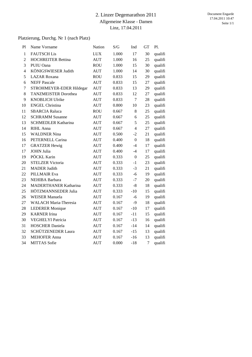#### 2. Linzer Degemarathon 2011 Allgemeine Klasse - Damen Linz, 17.04.2011

#### Platzierung, Durchg. Nr 1 (nach Platz)

| P1             | Name Vorname                 | Nation     | S/G   | Ind                       | GТ | Pl.     |
|----------------|------------------------------|------------|-------|---------------------------|----|---------|
| $\mathbf{1}$   | <b>FAUTSCH Lis</b>           | <b>LUX</b> | 1.000 | 17                        | 30 | qualifi |
| $\overline{2}$ | <b>HOCHREITER Bettina</b>    | <b>AUT</b> | 1.000 | 16                        | 25 | qualifi |
| 3              | PUIU Oana                    | <b>ROU</b> | 1.000 | 15                        | 30 | qualifi |
| $\overline{4}$ | KÖNIGSWIESER Judith          | <b>AUT</b> | 1.000 | 14                        | 30 | qualifi |
| 5              | <b>LAZAR</b> Roxana          | <b>ROU</b> | 0.833 | 15                        | 29 | qualifi |
| 6              | <b>NEFF Pascale</b>          | <b>AUT</b> | 0.833 | 15                        | 27 | qualifi |
| $\tau$         | STROHMEYER-EDER Hildegar     | <b>AUT</b> | 0.833 | 13                        | 29 | qualifi |
| 8              | <b>TANZMEISTER Dorothea</b>  | <b>AUT</b> | 0.833 | 12                        | 27 | qualifi |
| 9              | <b>KNOBLICH Ulrike</b>       | <b>AUT</b> | 0.833 | $\tau$                    | 28 | qualifi |
| 10             | <b>ENGEL Christina</b>       | <b>AUT</b> | 0.800 | 10                        | 23 | qualifi |
| 11             | <b>SBARCIA Raluca</b>        | <b>ROU</b> | 0.667 | 8                         | 25 | qualifi |
| 12             | <b>SCHRAMM Susanne</b>       | <b>AUT</b> | 0.667 | 6                         | 25 | qualifi |
| 13             | <b>SCHMEDLER Katharina</b>   | <b>AUT</b> | 0.667 | 5                         | 25 | qualifi |
| 14             | RIHL Anna                    | <b>AUT</b> | 0.667 | $\overline{4}$            | 27 | qualifi |
| 15             | <b>WALDNER Nina</b>          | <b>AUT</b> | 0.500 | $-2$                      | 21 | qualifi |
| 16             | PETERNELL Carina             | <b>AUT</b> | 0.400 | $\boldsymbol{0}$          | 18 | qualifi |
| 17             | <b>GRATZER Hewig</b>         | <b>AUT</b> | 0.400 | $-4$                      | 17 | qualifi |
| 17             | <b>JOHN Julia</b>            | <b>AUT</b> | 0.400 | $-4$                      | 17 | qualifi |
| 19             | PÖCKL Karin                  | <b>AUT</b> | 0.333 | $\boldsymbol{0}$          | 25 | qualifi |
| 20             | <b>STELZER Victoria</b>      | <b>AUT</b> | 0.333 | $-1$                      | 23 | qualifi |
| 21             | <b>MADER Judith</b>          | <b>AUT</b> | 0.333 | $-3$                      | 21 | qualifi |
| 22             | <b>PILLMAIR Eva</b>          | <b>AUT</b> | 0.333 | $-6$                      | 19 | qualifi |
| 23             | NEHIBA Barbara               | <b>AUT</b> | 0.333 | $\ensuremath{\mathsf{I}}$ | 20 | qualifi |
| 24             | <b>MADERTHANER Katharina</b> | <b>AUT</b> | 0.333 | $-8$                      | 18 | qualifi |
| 25             | HÖTZMANNSEDER Julia          | <b>AUT</b> | 0.333 | $-10$                     | 15 | qualifi |
| 26             | <b>WEISER Manuela</b>        | <b>AUT</b> | 0.167 | $-6$                      | 19 | qualifi |
| 27             | <b>WALACH Maria-Theresia</b> | <b>AUT</b> | 0.167 | $-9$                      | 18 | qualifi |
| 28             | <b>LEDERER Monique</b>       | <b>AUT</b> | 0.167 | $-10$                     | 17 | qualifi |
| 29             | <b>KARNER</b> Irina          | <b>AUT</b> | 0.167 | $-11$                     | 15 | qualifi |
| 30             | <b>VEGHELYI Patricia</b>     | <b>AUT</b> | 0.167 | $-13$                     | 16 | qualifi |
| 31             | <b>HOSCHER Daniela</b>       | <b>AUT</b> | 0.167 | $-14$                     | 14 | qualifi |
| 32             | SCHÜTZENEDER Laura           | <b>AUT</b> | 0.167 | $-15$                     | 13 | qualifi |
| 33             | <b>MEHOFER Anna</b>          | <b>AUT</b> | 0.167 | $-16$                     | 13 | qualifi |
| 34             | <b>MITTAS</b> Sofie          | <b>AUT</b> | 0.000 | $-18$                     | 7  | qualifi |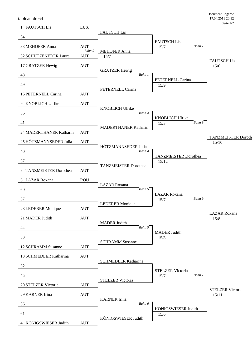tableau de 64

| 1 FAUTSCH Lis           | <b>LUX</b>           |                                  |                                      |        |                             |
|-------------------------|----------------------|----------------------------------|--------------------------------------|--------|-----------------------------|
| 64                      |                      | <b>FAUTSCH Lis</b>               |                                      |        |                             |
| 33 MEHOFER Anna         | <b>AUT</b>           |                                  | <b>FAUTSCH Lis</b><br>15/7           | Bahn 7 |                             |
| 32 SCHÜTZENEDER Laura   | Bahn 9<br><b>AUT</b> | <b>MEHOFER Anna</b>              |                                      |        |                             |
|                         |                      | 15/7                             |                                      |        | <b>FAUTSCH Lis</b>          |
| 17 GRATZER Hewig        | <b>AUT</b>           | <b>GRATZER Hewig</b>             |                                      |        | 15/6                        |
| 48                      |                      | Bahn 1                           | PETERNELL Carina                     |        |                             |
| 49                      |                      |                                  | 15/9                                 |        |                             |
| 16 PETERNELL Carina     | <b>AUT</b>           | PETERNELL Carina                 |                                      |        |                             |
| 9 KNOBLICH Ulrike       | <b>AUT</b>           |                                  |                                      |        |                             |
| 56                      |                      | <b>KNOBLICH Ulrike</b><br>Bahn 4 |                                      |        |                             |
|                         |                      |                                  | <b>KNOBLICH Ulrike</b>               |        |                             |
| 41                      |                      | <b>MADERTHANER Katharin</b>      | 15/3                                 | Bahn 9 |                             |
| 24 MADERTHANER Katharin | <b>AUT</b>           |                                  |                                      |        | <b>TANZMEISTER Doroth</b>   |
| 25 HÖTZMANNSEDER Julia  | <b>AUT</b>           |                                  |                                      |        | 15/10                       |
| 40                      |                      | HÖTZMANNSEDER Julia<br>Bahn 4    |                                      |        |                             |
| 57                      |                      |                                  | <b>TANZMEISTER Dorothea</b><br>15/12 |        |                             |
|                         |                      | <b>TANZMEISTER Dorothea</b>      |                                      |        |                             |
| 8 TANZMEISTER Dorothea  | <b>AUT</b>           |                                  |                                      |        |                             |
| 5 LAZAR Roxana          | <b>ROU</b>           | <b>LAZAR</b> Roxana              |                                      |        |                             |
| 60                      |                      | Bahn 5                           | <b>LAZAR</b> Roxana                  |        |                             |
| 37                      |                      |                                  | 15/7                                 | Bahn 9 |                             |
| 28 LEDERER Monique      | <b>AUT</b>           | <b>LEDERER Monique</b>           |                                      |        |                             |
| 21 MADER Judith         | <b>AUT</b>           |                                  |                                      |        | <b>LAZAR</b> Roxana<br>15/8 |
|                         |                      | <b>MADER Judith</b><br>Bahn 5    |                                      |        |                             |
| 44                      |                      |                                  | <b>MADER Judith</b>                  |        |                             |
| 53                      |                      | <b>SCHRAMM Susanne</b>           | 15/8                                 |        |                             |
| 12 SCHRAMM Susanne      | <b>AUT</b>           |                                  |                                      |        |                             |
| 13 SCHMEDLER Katharina  | <b>AUT</b>           |                                  |                                      |        |                             |
| 52                      |                      | <b>SCHMEDLER Katharina</b>       |                                      |        |                             |
| 45                      |                      |                                  | <b>STELZER Victoria</b><br>15/7      | Bahn 7 |                             |
|                         |                      | <b>STELZER Victoria</b>          |                                      |        |                             |
| 20 STELZER Victoria     | <b>AUT</b>           |                                  |                                      |        | <b>STELZER Victoria</b>     |
| 29 KARNER Irina         | <b>AUT</b>           | <b>KARNER</b> Irina              |                                      |        | 15/11                       |
| 36                      |                      | Bahn 6                           |                                      |        |                             |
| 61                      |                      |                                  | KÖNIGSWIESER Judith<br>15/6          |        |                             |
| 4 KÖNIGSWIESER Judith   | <b>AUT</b>           | KÖNIGSWIESER Judith              |                                      |        |                             |
|                         |                      |                                  |                                      |        |                             |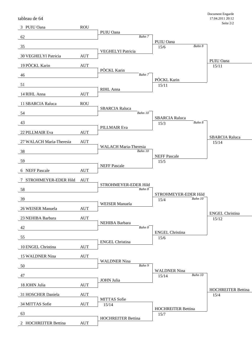tableau de 64

| 3 PUIU Oana               | <b>ROU</b> |                                            |                                         |                                   |
|---------------------------|------------|--------------------------------------------|-----------------------------------------|-----------------------------------|
| 62                        |            | PUIU Oana<br>Bahn 7                        |                                         |                                   |
| 35                        |            |                                            | PUIU Oana<br>Bahn 8                     |                                   |
|                           |            | VEGHELYI Patricia                          | 15/6                                    |                                   |
| 30 VEGHELYI Patricia      | <b>AUT</b> |                                            |                                         | PUIU Oana                         |
| 19 PÖCKL Karin            | <b>AUT</b> |                                            |                                         | 15/11                             |
| 46                        |            | PÖCKL Karin<br>Bahn 7                      |                                         |                                   |
| 51                        |            |                                            | PÖCKL Karin<br>15/11                    |                                   |
|                           |            | RIHL Anna                                  |                                         |                                   |
| 14 RIHL Anna              | <b>AUT</b> |                                            |                                         |                                   |
| 11 SBARCIA Raluca         | <b>ROU</b> | <b>SBARCIA Raluca</b>                      |                                         |                                   |
| 54                        |            | Bahn 10                                    |                                         |                                   |
| 43                        |            |                                            | <b>SBARCIA Raluca</b><br>Bahn 8<br>15/3 |                                   |
| 22 PILLMAIR Eva           | <b>AUT</b> | PILLMAIR Eva                               |                                         |                                   |
|                           |            |                                            |                                         | <b>SBARCIA Raluca</b>             |
| 27 WALACH Maria-Theresia  | <b>AUT</b> | <b>WALACH Maria-Theresia</b>               |                                         | 15/14                             |
| 38                        |            | Bahn 10                                    | <b>NEFF Pascale</b>                     |                                   |
| 59                        |            |                                            | 15/5                                    |                                   |
| 6 NEFF Pascale            | <b>AUT</b> | <b>NEFF Pascale</b>                        |                                         |                                   |
| STROHMEYER-EDER Hild<br>7 |            |                                            |                                         |                                   |
|                           | <b>AUT</b> | STROHMEYER-EDER Hild                       |                                         |                                   |
| 58                        |            | Bahn 8                                     | STROHMEYER-EDER Hild                    |                                   |
| 39                        |            |                                            | Bahn 10<br>15/4                         |                                   |
| 26 WEISER Manuela         | <b>AUT</b> | <b>WEISER</b> Manuela                      |                                         |                                   |
| 23 NEHIBA Barbara         | <b>AUT</b> |                                            |                                         | <b>ENGEL Christina</b><br>15/12   |
|                           |            | NEHIBA Barbara                             |                                         |                                   |
| 42                        |            | Bahn 8                                     | <b>ENGEL Christina</b>                  |                                   |
| 55                        |            | <b>ENGEL Christina</b>                     | 15/6                                    |                                   |
| 10 ENGEL Christina        | <b>AUT</b> |                                            |                                         |                                   |
| 15 WALDNER Nina           | <b>AUT</b> |                                            |                                         |                                   |
| 50                        |            | <b>WALDNER Nina</b><br>Bahn $\overline{9}$ |                                         |                                   |
|                           |            |                                            | <b>WALDNER Nina</b>                     |                                   |
| 47                        |            | JOHN Julia                                 | Bahn 10<br>15/14                        |                                   |
| 18 JOHN Julia             | <b>AUT</b> |                                            |                                         |                                   |
| 31 HOSCHER Daniela        | <b>AUT</b> |                                            |                                         | <b>HOCHREITER Bettina</b><br>15/4 |
| 34 MITTAS Sofie           | <b>AUT</b> | <b>MITTAS</b> Sofie<br>15/14               |                                         |                                   |
|                           |            |                                            | <b>HOCHREITER Bettina</b>               |                                   |
| 63                        |            | <b>HOCHREITER Bettina</b>                  | 15/7                                    |                                   |
| 2 HOCHREITER Bettina      | <b>AUT</b> |                                            |                                         |                                   |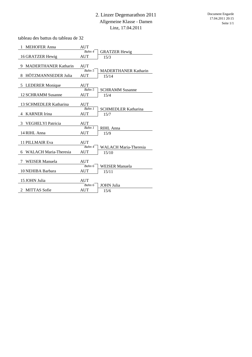tableau des battus du tableau de 32

| 1<br><b>MEHOFER Anna</b>             | <b>AUT</b> |                              |
|--------------------------------------|------------|------------------------------|
|                                      | Bahn 4     | <b>GRATZER Hewig</b>         |
| 16 GRATZER Hewig                     | <b>AUT</b> | 15/3                         |
|                                      |            |                              |
| <b>MADERTHANER Katharin</b><br>9     | <b>AUT</b> |                              |
|                                      | Bahn 5     | <b>MADERTHANER Katharin</b>  |
| HÖTZMANNSEDER Julia<br>8             | <b>AUT</b> | 15/14                        |
|                                      |            |                              |
| 5 LEDERER Monique                    | <b>AUT</b> |                              |
|                                      | Bahn 5     | <b>SCHRAMM Susanne</b>       |
| 12 SCHRAMM Susanne                   | <b>AUT</b> | 15/4                         |
|                                      |            |                              |
| 13 SCHMEDLER Katharina               | <b>AUT</b> |                              |
|                                      | Bahn 1     | <b>SCHMEDLER Katharina</b>   |
| <b>KARNER</b> Irina<br>4             | <b>AUT</b> | 15/7                         |
|                                      |            |                              |
| <b>VEGHELYI Patricia</b><br>3        | AUT        |                              |
|                                      | Bahn 1     | RIHL Anna                    |
|                                      |            |                              |
| 14 RIHL Anna                         | <b>AUT</b> | 15/9                         |
|                                      |            |                              |
| <b>11 PILLMAIR Eva</b>               | <b>AUT</b> |                              |
|                                      | Bahn 4     | <b>WALACH Maria-Theresia</b> |
| <b>WALACH Maria-Theresia</b><br>6    | <b>AUT</b> | 15/10                        |
|                                      |            |                              |
| <b>WEISER</b> Manuela<br>7           | <b>AUT</b> |                              |
|                                      | Bahn 6     | WEISER Manuela               |
| 10 NEHIBA Barbara                    | <b>AUT</b> | 15/11                        |
|                                      |            |                              |
| 15 JOHN Julia                        | <b>AUT</b> |                              |
|                                      | Bahn 6     | <b>JOHN</b> Julia            |
| <b>MITTAS Sofie</b><br>$\mathcal{L}$ | <b>AUT</b> | 15/6                         |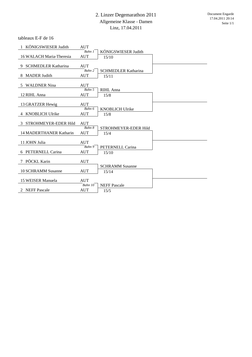tableaux E-F de 16

| 1 KÖNIGSWIESER Judith     | <b>AUT</b>            |                             |  |
|---------------------------|-----------------------|-----------------------------|--|
|                           | Bahn 1                | KÖNIGSWIESER Judith         |  |
| 16 WALACH Maria-Theresia  | <b>AUT</b>            | 15/10                       |  |
|                           |                       |                             |  |
| 9 SCHMEDLER Katharina     | <b>AUT</b>            |                             |  |
|                           | Bahn 2                | <b>SCHMEDLER Katharina</b>  |  |
| 8 MADER Judith            | <b>AUT</b>            | 15/11                       |  |
|                           |                       |                             |  |
| 5 WALDNER Nina            | <b>AUT</b>            |                             |  |
|                           | Bahn 5                | RIHL Anna                   |  |
| 12 RIHL Anna              | <b>AUT</b>            | 15/8                        |  |
|                           |                       |                             |  |
| 13 GRATZER Hewig          | <b>AUT</b>            |                             |  |
|                           | Bahn 6                | <b>KNOBLICH Ulrike</b>      |  |
| 4 KNOBLICH Ulrike         | <b>AUT</b>            | 15/8                        |  |
|                           |                       |                             |  |
|                           |                       |                             |  |
| 3 STROHMEYER-EDER Hild    | <b>AUT</b>            |                             |  |
|                           | Bahn 8                | STROHMEYER-EDER Hild        |  |
| 14 MADERTHANER Katharin   | <b>AUT</b>            | 15/4                        |  |
|                           |                       |                             |  |
| 11 JOHN Julia             | <b>AUT</b>            |                             |  |
|                           | Bahn 9                | PETERNELL Carina            |  |
| 6 PETERNELL Carina        | <b>AUT</b>            | 15/10                       |  |
|                           |                       |                             |  |
| 7 PÖCKL Karin             | <b>AUT</b>            |                             |  |
|                           |                       | <b>SCHRAMM Susanne</b>      |  |
| <b>10 SCHRAMM Susanne</b> | <b>AUT</b>            | 15/14                       |  |
|                           |                       |                             |  |
| 15 WEISER Manuela         | <b>AUT</b>            |                             |  |
| 2 NEFF Pascale            | Bahn 10<br><b>AUT</b> | <b>NEFF Pascale</b><br>15/5 |  |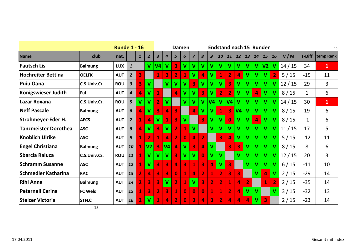|                             |                | <b>Runde 1 - 16</b> |                         |                |                |                |                  |                         | Damen                   |                         |                         |                         |                         |                         |                |                |          | <b>Endstand nach 15 Runden</b> |                |        |               | 15           |
|-----------------------------|----------------|---------------------|-------------------------|----------------|----------------|----------------|------------------|-------------------------|-------------------------|-------------------------|-------------------------|-------------------------|-------------------------|-------------------------|----------------|----------------|----------|--------------------------------|----------------|--------|---------------|--------------|
| <b>Name</b>                 | club           | nat.                |                         | $\mathbf{1}$   | $\overline{2}$ | 3              | $\boldsymbol{4}$ | 5                       | 6                       | $\overline{7}$          | 8                       | 9                       | 10                      | 11                      | <b>12</b>      | 13             | 14       | <b>15</b>                      | <b>16</b>      | V/M    | <b>T-Diff</b> | temp Rank    |
| <b>Fautsch Lis</b>          | <b>Balmung</b> | <b>LUX</b>          | $\mathbf{1}$            |                | $\mathbf{V}$   | V <sub>4</sub> | v                | 3                       | V                       | V                       | V                       | V                       | $\mathbf v$             | $\mathbf{V}$            | $\mathbf v$    | v              | V        | V2                             | V              | 14/15  | 34            | $\mathbf{1}$ |
| <b>Hochreiter Bettina</b>   | <b>OELFK</b>   | <b>AUT</b>          | $\overline{2}$          | 3              |                | 1              | 3                | $\overline{2}$          |                         | $\mathbf v$             | 4                       | $\mathbf{V}$            | $\mathbf{1}$            | $\overline{2}$          | 4              | $\mathbf v$    | V        | $\mathbf v$                    | $\overline{2}$ | 5/15   | $-15$         | 11           |
| Puiu Oana                   | C.S.Univ.Cr.   | <b>ROU</b>          | $\overline{\mathbf{3}}$ | 3              | $\mathbf v$    |                | $\mathbf v$      | $\mathbf v$             | V                       | 3                       | $\overline{\mathsf{v}}$ | V                       | $\mathbf v$             | 3                       | $\mathbf v$    | v              | V        | V                              | v              | 12/15  | 29            | 3            |
| Königswieser Judith         | Ful            | <b>AUT</b>          | $\boldsymbol{4}$        | 4              | V              | 1              |                  | 4                       | V                       | V                       | $\overline{\mathbf{3}}$ | $\mathbf v$             | $\overline{2}$          | $\overline{2}$          | $\mathbf v$    | v              | $\Delta$ | V                              | $\mathbf{V}$   | 8/15   | $\mathbf{1}$  | 6            |
| Lazar Roxana                | C.S.Univ.Cr.   | <b>ROU</b>          | 5                       | V              | v              |                | $\mathbf{V}$     |                         | <b>V</b>                | V                       | V                       | V <sub>4</sub>          | $\mathbf v$             | V <sub>4</sub>          | $\mathbf v$    | v              | v        | v                              | V              | 14/15  | 30            | $\mathbf{1}$ |
| <b>Neff Pascale</b>         | <b>Balmung</b> | <b>AUT</b>          | 6                       | 4              | V              | 3              | 4                | 3                       |                         | 4                       | V                       | V                       | $\mathbf 1$             | 3                       | V <sub>4</sub> | V              | V        | V                              | V              | 8/15   | 19            | 6            |
| <b>Strohmeyer-Eder H.</b>   | <b>AFCS</b>    | <b>AUT</b>          | $\overline{7}$          |                | 4              | V              |                  | $\overline{\mathbf{3}}$ | $\mathbf v$             |                         | 3                       | V                       | $\mathbf v$             | $\bf{0}$                | $\mathbf v$    | v              | $\Delta$ | V                              | v              | 8/15   | $-1$          | 6            |
| <b>Tanzmeister Dorothea</b> | <b>ASC</b>     | <b>AUT</b>          | $\boldsymbol{8}$        | 4              | v              | 3              | $\mathbf v$      | $\overline{2}$          | 1                       | $\mathbf v$             |                         | $\overline{\mathsf{v}}$ | $\overline{\mathsf{v}}$ | $\mathbf{V}$            | $\mathbf v$    | V              | V        | V                              | v              | 11/15  | 17            | 5            |
| <b>Knoblich Ulrike</b>      | <b>ASC</b>     | <b>AUT</b>          | $\boldsymbol{9}$        | 1              | $\overline{2}$ | 1              | 4                | $\overline{2}$          | $\bf{0}$                | 4                       | $\overline{2}$          |                         | 3                       | 4                       | V              | V              | v        | V                              | $\mathbf{V}$   | 5/15   | $-12$         | 11           |
| <b>Engel Christiana</b>     | <b>Balmung</b> | <b>AUT</b>          | 10                      | 1              | V <sub>2</sub> | 3              | V <sub>4</sub>   | 4                       | $\mathbf{V}$            | $\overline{\mathbf{3}}$ | 4                       | V                       |                         | $\overline{\mathbf{3}}$ | 3              | V              | V        | V                              | $\mathbf{V}$   | 8/15   | 8             | 6            |
| <b>Sbarcia Raluca</b>       | C.S.Univ.Cr.   | <b>ROU</b>          | 11                      | 1              | V              | V              | $\mathbf v$      | 3                       | V                       | $\mathbf v$             | $\bf{0}$                | V                       | $\mathbf{V}$            |                         | $\mathbf v$    | v              | v        | V                              | $\mathbf v$    | 12/15  | 20            | 3            |
| <b>Schramm Susanne</b>      | <b>ASC</b>     | <b>AUT</b>          | 12                      | 1              | V              | 3              | 3                | 4                       | $\overline{\mathbf{3}}$ | $\mathbf 1$             | 3                       | $\overline{a}$          | $\mathbf v$             | $\overline{\mathbf{3}}$ |                | $\mathbf v$    | v        | $\mathbf v$                    | $\mathbf{V}$   | 6/15   | $-11$         | 10           |
| <b>Schmedler Katharina</b>  | <b>KAC</b>     | <b>AUT</b>          | 13                      | $\overline{2}$ | 4              | 3              | 3                | $\mathbf{0}$            | $\bf 1$                 | 4                       | $\overline{2}$          | $\mathbf{1}$            | $\overline{2}$          | 3                       | 3              |                | V        | 4                              | $\mathbf{V}$   | 2/15   | $-29$         | 14           |
| <b>Rihl Anna</b>            | <b>Balmung</b> | <b>AUT</b>          | 14                      | $\overline{2}$ | 3              | 3              | $\mathbf v$      | $\overline{2}$          | $\mathbf 1$             | $\mathbf{V}$            | 3                       | $\overline{2}$          | $\overline{2}$          | $\mathbf{1}$            | 4              | $\overline{2}$ |          | 1                              | $\overline{2}$ | 2/15   | $-35$         | 14           |
| <b>Peternell Carina</b>     | <b>FC Wels</b> | <b>AUT</b>          | 15                      | 1              | 3              | $\overline{2}$ | 3                | $\mathbf{1}$            | $\bf{0}$                | $\bf{0}$                | $\bf{0}$                | $\mathbf{1}$            | $\mathbf{1}$            | $\overline{2}$          | 4              | V              | v        |                                | $\mathbf{V}$   | $3/15$ | $-32$         | 13           |
| <b>Stelzer Victoria</b>     | <b>STFLC</b>   | <b>AUT</b>          | 16                      | $\overline{2}$ | V              |                | 4                | $\overline{2}$          | $\bf{0}$                | 3                       | 4                       | 3                       | $\overline{2}$          | 4                       | 4              | 4              | v        | 3                              |                | 2/15   | $-23$         | 14           |

15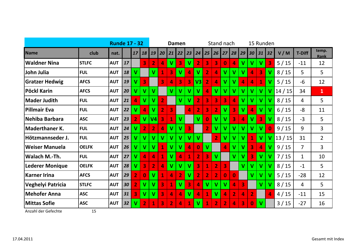|                        |              | <b>Runde 17 - 32</b> |    |                |                         |                |                |                         | Damen                   |                         |                    |                         | Stand nach     |                |                 |                         |                | 15 Runden               |                         |        |                |                |
|------------------------|--------------|----------------------|----|----------------|-------------------------|----------------|----------------|-------------------------|-------------------------|-------------------------|--------------------|-------------------------|----------------|----------------|-----------------|-------------------------|----------------|-------------------------|-------------------------|--------|----------------|----------------|
| Name                   | club         | nat.                 |    | 17             | 18                      | 19             | 20             | 21                      | 22                      | 23                      | 24                 |                         | $25$   26      | 27             | 28 <sup>1</sup> | 29                      | 30             | 31                      | $\overline{32}$         | V/M    | <b>T-Diff</b>  | temp.<br>Rank  |
| <b>Waldner Nina</b>    | <b>STLFC</b> | <b>AUT</b>           | 17 |                | 3                       | $\overline{2}$ | 4              | V                       | 3                       | $\mathbf v$             | $\overline{2}$     | 3                       | 3              | $\bf{0}$       | 4               | $\mathbf v$             | $\mathbf v$    | $\mathbf v$             | $\overline{\mathbf{3}}$ | $5/15$ | $-11$          | 12             |
| John Julia             | <b>FUL</b>   | <b>AUT</b>           | 18 | $\mathbf v$    |                         | $\mathbf v$    | 1              | 3                       | $\mathbf v$             | 4                       | $\mathbf v$        | $\overline{2}$          | 4              | $\mathbf v$    | $\mathbf v$     | $\mathbf v$             | 4              | 3                       | $\mathbf v$             | 8/15   | 5              | 5              |
| <b>Gratzer Hedwig</b>  | <b>AFCS</b>  | <b>AUT</b>           | 19 | V              | 3                       |                | 3              | 4                       | $\overline{\mathbf{3}}$ | 3                       | $\mathsf{V3}\vert$ | $\overline{2}$          | $\overline{a}$ | $\mathbf v$    | $\mathbf v$     | 4                       | 4              | $\mathbf{1}$            | $\mathbf v$             | $5/15$ | $-6$           | 12             |
| Pöckl Karin            | <b>AFCS</b>  | <b>AUT</b>           | 20 | V              | V                       | $\mathbf{V}$   |                | V                       | $\mathbf{V}$            | $\mathbf{V}$            | V                  | $\overline{4}$          | $\mathbf{V}$   | V              | V               | $\overline{\mathsf{v}}$ | V              | $\mathbf v$             | $\mathbf v$             | 14/15  | 34             | $\mathbf{1}$   |
| <b>Mader Judith</b>    | <b>FUL</b>   | <b>AUT</b>           | 21 | 4              | $\overline{\mathsf{V}}$ | $\mathbf v$    | $\overline{2}$ |                         | $\mathbf v$             | $\mathbf v$             | $\overline{2}$     | 3                       | 3              | 3              | $\overline{a}$  | $\mathbf v$             | V              | $\mathbf v$             | $\mathbf v$             | 8/15   | 4              | 5              |
| <b>Pillmair Eva</b>    | <b>FUL</b>   | <b>AUT</b>           | 22 | V              | 4                       | $\mathbf v$    | $\overline{2}$ | 3                       |                         | 4                       | $\overline{2}$     | $\overline{\mathbf{3}}$ | $\overline{2}$ | $\mathbf v$    | 3               | $\mathbf v$             | 4              | $\mathbf v$             | $\mathbf v$             | $6/15$ | $-8$           | 11             |
| Nehiba Barbara         | <b>ASC</b>   | <b>AUT</b>           | 23 | $\overline{2}$ | $\mathbf v$             | V <sub>4</sub> | 3              | 1                       | $\mathbf v$             |                         | V                  | $\bf{0}$                | $\mathbf v$    | v              | 3               | 4                       | $\mathbf v$    | 3                       | $\mathbf{V}$            | 8/15   | $-3$           | 5              |
| <b>Maderthaner K.</b>  | <b>FUL</b>   | <b>AUT</b>           | 24 | V              | $\overline{2}$          | $\overline{2}$ | 4              | $\mathbf v$             | V                       | 3                       |                    | $\overline{2}$          | $\mathbf v$    | v              | V               | V                       | V              | $\overline{\mathsf{v}}$ | $\bf{0}$                | 9/15   | 9              | 3              |
| Hötzmannseder J.       | <b>FUL</b>   | <b>AUT</b>           | 25 | V              | V                       | V              | v              | $\overline{\mathsf{v}}$ | $\mathbf v$             | $\mathbf v$             | V                  |                         | $\overline{2}$ | $\mathbf v$    | $\mathbf v$     | $\mathbf v$             | $\overline{1}$ | $\overline{\mathsf{v}}$ | $\mathbf{V}$            | 13/15  | 31             | $\overline{2}$ |
| <b>Weiser Manuela</b>  | <b>OELFK</b> | <b>AUT</b>           | 26 | V              | V                       | $\mathbf{V}$   | $\mathbf{1}$   | V                       | $\mathbf v$             | 4                       | $\bf{0}$           | $\mathbf v$             |                | 4              | V               | $\mathbf v$             | 3              | $\overline{4}$          | $\mathbf{V}$            | 9/15   | $\overline{7}$ | 3              |
| Walach M.-Th.          | <b>FUL</b>   | <b>AUT</b>           | 27 | $\mathbf v$    | 4                       | 4              | 1              | ۷                       | 4                       | 1                       | $\overline{2}$     | $\overline{\mathbf{3}}$ | $\mathbf{V}$   |                | $\mathbf v$     | $\mathbf v$             | 3              | V                       | $\mathbf{V}$            | $7/15$ | 1              | 10             |
| <b>Lederer Monique</b> | <b>OELFK</b> | <b>AUT</b>           | 28 | $\mathbf v$    | 3                       | $\overline{2}$ | $\overline{a}$ | V                       | $\mathbf{V}$            | $\mathbf v$             | 3                  | $\mathbf{1}$            | $\overline{2}$ | 3              |                 | $\mathbf{V}$            | V              | V                       | $\mathbf{V}$            | 8/15   | $-1$           | 5              |
| <b>Karner Irina</b>    | <b>AFCS</b>  | <b>AUT</b>           | 29 | $\overline{2}$ | $\bf{0}$                | $\mathsf{V}$   | $\mathbf 1$    | 4                       | $\overline{2}$          | $\mathbf v$             | $\overline{2}$     | $\overline{2}$          | $\overline{2}$ | $\bf{0}$       | $\bf{0}$        |                         | $\mathbf v$    | V                       | $\mathbf v$             | $5/15$ | $-28$          | 12             |
| Veghelyi Patricia      | <b>STLFC</b> | <b>AUT</b>           | 30 | $\overline{2}$ | $\mathsf{V}$            | $\mathbf v$    | 3              | 1                       | $\mathbf{V}$            | $\overline{\mathbf{3}}$ | 4                  | $\mathbf v$             | V              | V              | 4               | $\overline{\mathbf{3}}$ |                | $\mathbf v$             | $\mathbf v$             | 8/15   | 4              | 5              |
| <b>Mehofer Anna</b>    | <b>ASC</b>   | <b>AUT</b>           | 31 | 3              | $\mathbf v$             | $\mathbf v$    | 3              | 4                       | 4                       | $\mathbf{V}$            | 4                  | $\mathbf{1}$            | $\mathbf v$    | 4              | $\overline{2}$  | 4                       | $\overline{2}$ |                         | 4                       | 4/15   | $-11$          | 15             |
| <b>Mittas Sofie</b>    | <b>ASC</b>   | <b>AUT</b>           | 32 | V              | $\overline{2}$          | $\mathbf{1}$   | 3              | $\overline{2}$          | 4                       | $\mathbf 1$             | $\mathsf{V}$       | $\mathbf{1}$            | $\overline{2}$ | $\overline{2}$ | 4               | 3                       | $\bf{0}$       | $\mathbf v$             |                         | 3/15   | $-27$          | 16             |

Anzahl der Gefechte 15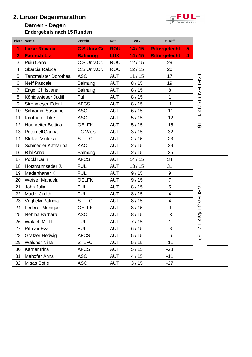### **2. Linzer Degenmarathon**

### **Damen - Degen**





|                | Platz Name                  | Verein              | Nat.       | V/G   | H-Diff                                 |                               |  |
|----------------|-----------------------------|---------------------|------------|-------|----------------------------------------|-------------------------------|--|
| 1              | <b>Lazar Roxana</b>         | <b>C.S.Univ.Cr.</b> | <b>ROU</b> | 14/15 | <b>Rittergefecht</b><br>5 <sub>1</sub> |                               |  |
| $\overline{2}$ | <b>Fautsch Liz</b>          | <b>Balmung</b>      | <b>LUX</b> | 14/15 | <b>Rittergefecht</b><br>$\overline{4}$ |                               |  |
| 3              | Puiu Oana                   | C.S.Univ.Cr.        | <b>ROU</b> | 12/15 | 29                                     |                               |  |
| 4              | Sbarcia Raluca              | C.S.Univ.Cr.        | <b>ROU</b> | 12/15 | 20                                     |                               |  |
| 5              | <b>Tanzmeister Dorothea</b> | <b>ASC</b>          | <b>AUT</b> | 11/15 | 17                                     |                               |  |
| 6              | <b>Neff Pascale</b>         | Balmung             | <b>AUT</b> | 8/15  | 19                                     | <b>TABLEAU</b>                |  |
| $\overline{7}$ | <b>Engel Christiana</b>     | Balmung             | <b>AUT</b> | 8/15  | 8                                      |                               |  |
| 8              | Königswieser Judith         | Ful                 | <b>AUT</b> | 8/15  | $\mathbf 1$                            |                               |  |
| 9              | Strohmeyer-Eder H.          | <b>AFCS</b>         | <b>AUT</b> | 8/15  | $-1$                                   | Platz                         |  |
| 10             | <b>Schramm Susanne</b>      | <b>ASC</b>          | <b>AUT</b> | 6/15  | $-11$                                  |                               |  |
| 11             | Knoblich Ulrike             | <b>ASC</b>          | <b>AUT</b> | 5/15  | $-12$                                  | $\rightarrow$<br>$\mathbf{L}$ |  |
| 12             | Hochreiter Bettina          | <b>OELFK</b>        | <b>AUT</b> | 5/15  | $-15$                                  | $\rightarrow$<br>$\infty$     |  |
| 13             | <b>Peternell Carina</b>     | FC Wels             | <b>AUT</b> | 3/15  | $-32$                                  |                               |  |
| 14             | <b>Stelzer Victoria</b>     | <b>STFLC</b>        | <b>AUT</b> | 2/15  | $-23$                                  |                               |  |
| 15             | Schmedler Katharina         | <b>KAC</b>          | <b>AUT</b> | 2/15  | $-29$                                  |                               |  |
| 16             | Rihl Anna                   | Balmung             | <b>AUT</b> | 2/15  | $-35$                                  |                               |  |
| 17             | Pöckl Karin                 | <b>AFCS</b>         | <b>AUT</b> | 14/15 | 34                                     |                               |  |
| 18             | Hötzmannseder J.            | <b>FUL</b>          | <b>AUT</b> | 13/15 | 31                                     |                               |  |
| 19             | Maderthaner K.              | <b>FUL</b>          | <b>AUT</b> | 9/15  | 9                                      |                               |  |
| 20             | Weiser Manuela              | <b>OELFK</b>        | <b>AUT</b> | 9/15  | $\overline{7}$                         |                               |  |
| 21             | John Julia                  | <b>FUL</b>          | <b>AUT</b> | 8/15  | 5                                      | <b>TABLEAU</b>                |  |
| 22             | Mader Judith                | <b>FUL</b>          | <b>AUT</b> | 8/15  | $\overline{\mathbf{4}}$                |                               |  |
| 23             | Veghelyi Patricia           | <b>STLFC</b>        | <b>AUT</b> | 8/15  | 4                                      |                               |  |
| 24             | Lederer Monique             | <b>OELFK</b>        | <b>AUT</b> | 8/15  | $-1$                                   |                               |  |
| 25             | Nehiba Barbara              | <b>ASC</b>          | <b>AUT</b> | 8/15  | $-3$                                   | Platz                         |  |
| 26             | Walach M.-Th.               | <b>FUL</b>          | <b>AUT</b> | 7/15  | $\mathbf{1}$                           | $\rightarrow$                 |  |
| 27             | Pillmair Eva                | <b>FUL</b>          | <b>AUT</b> | 6/15  | -8                                     | ↘                             |  |
| 28             | <b>Gratzer Hedwig</b>       | <b>AFCS</b>         | <b>AUT</b> | 5/15  | -6                                     | 32                            |  |
| 29             | <b>Waldner Nina</b>         | <b>STLFC</b>        | <b>AUT</b> | 5/15  | $-11$                                  |                               |  |
| 30             | Karner Irina                | <b>AFCS</b>         | <b>AUT</b> | 5/15  | $-28$                                  |                               |  |
| 31             | Mehofer Anna                | <b>ASC</b>          | <b>AUT</b> | 4/15  | $-11$                                  |                               |  |
| 32             | Mittas Sofie                | <b>ASC</b>          | AUT        | 3/15  | $-27$                                  |                               |  |